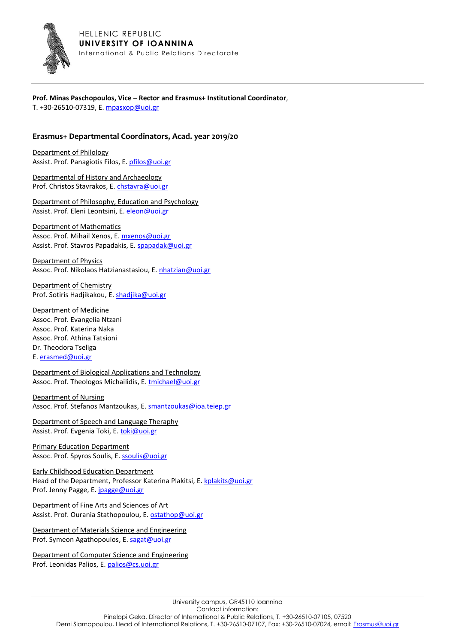

## **Prof. Minas Paschopoulos, Vice – Rector and Erasmus+ Institutional Coordinator**, T. +30-26510-07319, Ε[. mpasxop@uoi.gr](mailto:mpasxop@uoi.gr)

## **Erasmus+ Departmental Coordinators, Acad. year 2019/20**

Department of Philology Assist. Prof. Panagiotis Filos, Ε. [pfilos@uoi.gr](mailto:pfilos@uoi.gr)

Departmental of History and Archaeology Prof. Christos Stavrakos, Ε. [chstavra@uoi.gr](mailto:chstavra@uoi.gr) 

Department of Philosophy, Education and Psychology Assist. Prof. Eleni Leontsini, Ε. [eleon@uoi.gr](mailto:eleon@uoi.gr) 

Department of Mathematics Assoc. Prof. Mihail Xenos, Ε. [mxenos@uoi.gr](mailto:mxenos@uoi.gr) Assist. Prof. Stavros Papadakis, Ε[. spapadak@uoi.gr](mailto:spapadak@uoi.gr)

Department of Physics Assoc. Prof. Nikolaos Hatzianastasiou, Ε. [nhatzian@uoi.gr](mailto:nhatzian@uoi.gr) 

Department of Chemistry Prof. Sotiris Hadjikakou, Ε. [shadjika@uoi.gr](mailto:shadjika@uoi.gr) 

Department of Medicine Assoc. Prof. Evangelia Ntzani Assoc. Prof. Katerina Naka Assoc. Prof. Athina Tatsioni Dr. Theodora Tseliga Ε. [erasmed@uoi.gr](mailto:erasmed@uoi.gr)

Department of Biological Applications and Technology Assoc. Prof. Theologos Michailidis, Ε. [tmichael@uoi.gr](mailto:tmichael@uoi.gr)

Department of Nursing Assoc. Prof. Stefanos Mantzoukas, E. [smantzoukas@ioa.teiep.gr](mailto:smantzoukas@ioa.teiep.gr)

Department of Speech and Language Theraphy Assist. Prof. Evgenia Toki, E[. toki@uoi.gr](mailto:toki@uoi.gr)

Primary Education Department Assoc. Prof. Spyros Soulis, Ε. [ssoulis@uoi.gr](mailto:ssoulis@uoi.gr)

Early Childhood Education Department Head of the Department, Professor Katerina Plakitsi, Ε. [kplakits@uoi.gr](mailto:kplakits@uoi.gr) Prof. Jenny Pagge, E[. jpagge@uoi.gr](mailto:jpagge@uoi.gr)

Department of Fine Arts and Sciences of Art Assist. Prof. Ourania Stathopoulou, E[. ostathop@uoi.gr](mailto:ostathop@uoi.gr)

Department of Materials Science and Engineering Prof. Symeon Agathopoulos, Ε. [sagat@uoi.gr](mailto:sagat@uoi.gr) 

Department of Computer Science and Engineering Prof. Leonidas Palios, Ε[. palios@cs.uoi.gr](mailto:palios@cs.uoi.gr)